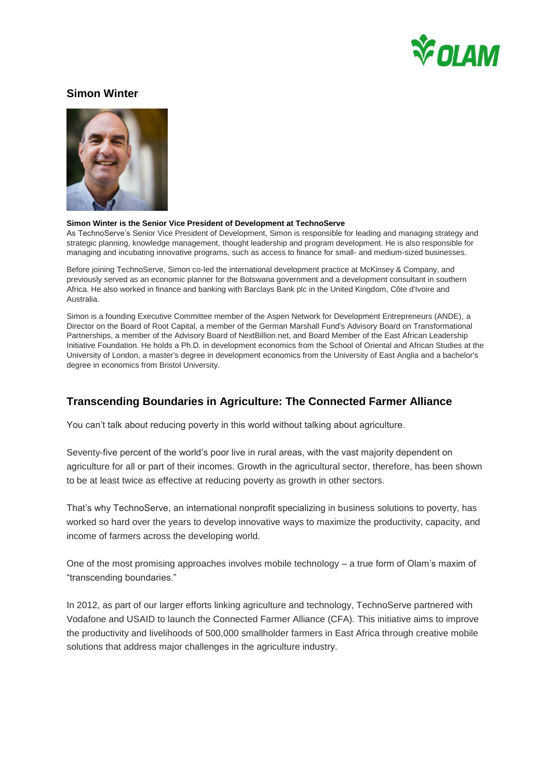

## **Simon Winter**



## **Simon Winter is the Senior Vice President of Development at TechnoServe**

As TechnoServe's Senior Vice President of Development, Simon is responsible for leading and managing strategy and strategic planning, knowledge management, thought leadership and program development. He is also responsible for managing and incubating innovative programs, such as access to finance for small- and medium-sized businesses.

Before joining TechnoServe, Simon co-led the international development practice at McKinsey & Company, and previously served as an economic planner for the Botswana government and a development consultant in southern Africa. He also worked in finance and banking with Barclays Bank plc in the United Kingdom, Côte d'Ivoire and Australia.

Simon is a founding Executive Committee member of the Aspen Network for Development Entrepreneurs (ANDE), a Director on the Board of Root Capital, a member of the German Marshall Fund's Advisory Board on Transformational Partnerships, a member of the Advisory Board of NextBillion.net, and Board Member of the East African Leadership Initiative Foundation. He holds a Ph.D. in development economics from the School of Oriental and African Studies at the University of London, a master's degree in development economics from the University of East Anglia and a bachelor's degree in economics from Bristol University.

## **Transcending Boundaries in Agriculture: The Connected Farmer Alliance**

You can't talk about reducing poverty in this world without talking about agriculture.

Seventy-five percent of the world's poor live in rural areas, with the vast majority dependent on agriculture for all or part of their incomes. Growth in the agricultural sector, therefore, has been shown to be at least twice as effective at reducing poverty as growth in other sectors.

That's why TechnoServe, an international nonprofit specializing in business solutions to poverty, has worked so hard over the years to develop innovative ways to maximize the productivity, capacity, and income of farmers across the developing world.

One of the most promising approaches involves mobile technology – a true form of Olam's maxim of "transcending boundaries."

In 2012, as part of our larger efforts linking agriculture and technology, TechnoServe partnered with Vodafone and USAID to launch the Connected Farmer Alliance (CFA). This initiative aims to improve the productivity and livelihoods of 500,000 smallholder farmers in East Africa through creative mobile solutions that address major challenges in the agriculture industry.